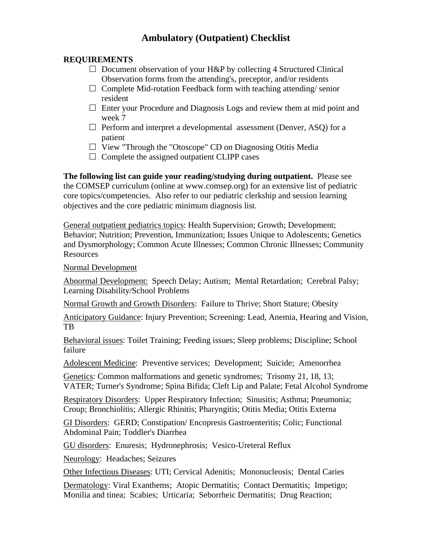## **Ambulatory (Outpatient) Checklist**

## **REQUIREMENTS**

- $\Box$  Document observation of your H&P by collecting 4 Structured Clinical Observation forms from the attending's, preceptor, and/or residents
- $\Box$  Complete Mid-rotation Feedback form with teaching attending/ senior resident
- $\Box$  Enter your Procedure and Diagnosis Logs and review them at mid point and week 7
- $\Box$  Perform and interpret a developmental assessment (Denver, ASQ) for a patient
- $\Box$  View "Through the "Otoscope" CD on Diagnosing Otitis Media
- $\Box$  Complete the assigned outpatient CLIPP cases

**The following list can guide your reading/studying during outpatient.** Please see the COMSEP curriculum (online at www.comsep.org) for an extensive list of pediatric core topics/competencies. Also refer to our pediatric clerkship and session learning objectives and the core pediatric minimum diagnosis list.

General outpatient pediatrics topics: Health Supervision; Growth; Development; Behavior; Nutrition; Prevention, Immunization; Issues Unique to Adolescents; Genetics and Dysmorphology; Common Acute Illnesses; Common Chronic Illnesses; Community Resources

Normal Development

Abnormal Development: Speech Delay; Autism; Mental Retardation; Cerebral Palsy; Learning Disability/School Problems

Normal Growth and Growth Disorders: Failure to Thrive; Short Stature; Obesity

Anticipatory Guidance: Injury Prevention; Screening: Lead, Anemia, Hearing and Vision, TB

Behavioral issues: Toilet Training; Feeding issues; Sleep problems; Discipline; School failure

Adolescent Medicine: Preventive services; Development; Suicide; Amenorrhea

Genetics: Common malformations and genetic syndromes; Trisomy 21, 18, 13; VATER; Turner's Syndrome; Spina Bifida; Cleft Lip and Palate; Fetal Alcohol Syndrome

Respiratory Disorders: Upper Respiratory Infection; Sinusitis; Asthma; Pneumonia; Croup; Bronchiolitis; Allergic Rhinitis; Pharyngitis; Otitis Media; Otitis Externa

GI Disorders: GERD; Constipation/ Encopresis Gastroenteritis; Colic; Functional Abdominal Pain; Toddler's Diarrhea

GU disorders: Enuresis; Hydronephrosis; Vesico-Ureteral Reflux

Neurology: Headaches; Seizures

Other Infectious Diseases: UTI; Cervical Adenitis; Mononucleosis; Dental Caries

Dermatology: Viral Exanthems; Atopic Dermatitis; Contact Dermatitis; Impetigo; Monilia and tinea; Scabies; Urticaria; Seborrheic Dermatitis; Drug Reaction;